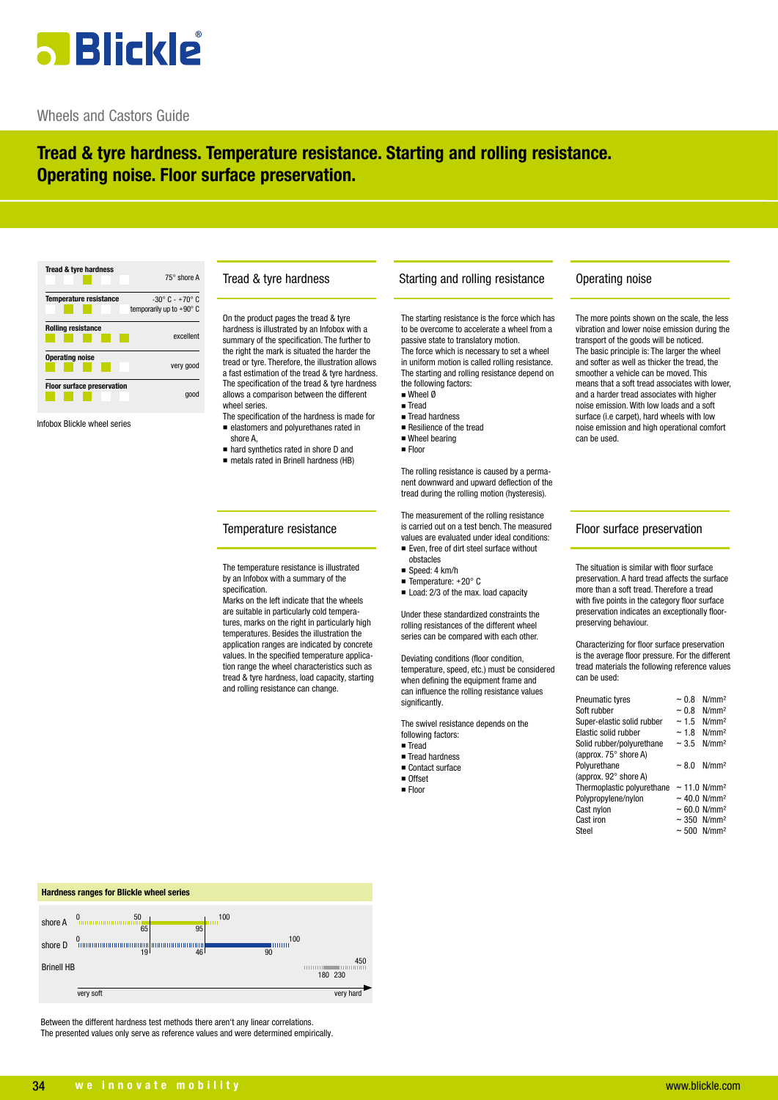# **3 Blickle**

### Wheels and Castors Guide

## **Tread & tyre hardness. Temperature resistance. Starting and rolling resistance. Operating noise. Floor surface preservation.**

| <b>Tread &amp; tyre hardness</b>  | 75° shore A                       |
|-----------------------------------|-----------------------------------|
| <b>Temperature resistance</b>     | $-30^{\circ}$ C - $+70^{\circ}$ C |
|                                   | temporarily up to $+90^{\circ}$ C |
| <b>Rolling resistance</b>         | excellent                         |
| <b>Operating noise</b>            | very good                         |
| <b>Floor surface preservation</b> | 000                               |

Infobox Blickle wheel series

#### Tread & tyre hardness

On the product pages the tread & tyre hardness is illustrated by an Infobox with a summary of the specification. The further to the right the mark is situated the harder the tread or tyre. Therefore, the illustration allows a fast estimation of the tread & tyre hardness. The specification of the tread & tyre hardness allows a comparison between the different wheel series

The specification of the hardness is made for n elastomers and polyurethanes rated in shore A,

- n hard synthetics rated in shore D and
- metals rated in Brinell hardness (HB)

#### Temperature resistance

The temperature resistance is illustrated by an Infobox with a summary of the specification.

Marks on the left indicate that the wheels are suitable in particularly cold temperatures, marks on the right in particularly high temperatures. Besides the illustration the application ranges are indicated by concrete values. In the specified temperature application range the wheel characteristics such as tread & tyre hardness, load capacity, starting and rolling resistance can change.

#### Starting and rolling resistance

The starting resistance is the force which has to be overcome to accelerate a wheel from a passive state to translatory motion.

The force which is necessary to set a wheel in uniform motion is called rolling resistance. The starting and rolling resistance depend on the following factors:

- $W$ heel  $\emptyset$ ■ Tread
- $\blacksquare$  Tread hardness
- $\blacksquare$  Resilience of the tread
- $\blacksquare$  Wheel bearing
- n Floor

The rolling resistance is caused by a permanent downward and upward deflection of the tread during the rolling motion (hysteresis).

The measurement of the rolling resistance is carried out on a test bench. The measured values are evaluated under ideal conditions:

■ Even, free of dirt steel surface without obstacles

- $Sneed: 4 km/h$
- $\blacksquare$  Temperature: +20° C
- $\blacksquare$  Load: 2/3 of the max. load capacity

Under these standardized constraints the rolling resistances of the different wheel series can be compared with each other.

Deviating conditions (floor condition, temperature, speed, etc.) must be considered when defining the equipment frame and can influence the rolling resistance values significantly.

The swivel resistance depends on the following factors:

- n Tread
- Tread hardness ■ Contact surface
- n Offset
- 
- $\blacksquare$  Floor

## Floor surface preservation

can be used.

The more points shown on the scale, the less vibration and lower noise emission during the transport of the goods will be noticed. The basic principle is: The larger the wheel and softer as well as thicker the tread, the smoother a vehicle can be moved. This means that a soft tread associates with lower, and a harder tread associates with higher noise emission. With low loads and a soft surface (i.e carpet), hard wheels with low noise emission and high operational comfort

Operating noise

The situation is similar with floor surface preservation. A hard tread affects the surface more than a soft tread. Therefore a tread with five points in the category floor surface preservation indicates an exceptionally floorpreserving behaviour.

Characterizing for floor surface preservation is the average floor pressure. For the different tread materials the following reference values can be used:

| <b>Pneumatic tyres</b>       | ~10.8      | N/mm <sup>2</sup>               |
|------------------------------|------------|---------------------------------|
| Soft rubber                  | ~10.8      | N/mm <sup>2</sup>               |
| Super-elastic solid rubber   | ~1.5       | N/mm <sup>2</sup>               |
| Elastic solid rubber         | ~18        | N/mm <sup>2</sup>               |
| Solid rubber/polyurethane    | ~1.5       | N/mm <sup>2</sup>               |
| (approx. $75^\circ$ shore A) |            |                                 |
| Polyurethane                 | $~1$ – 8.0 | N/mm <sup>2</sup>               |
| (approx. $92^\circ$ shore A) |            |                                 |
| Thermoplastic polyurethane   |            | $\sim$ 11.0 N/mm <sup>2</sup>   |
| Polypropylene/nylon          |            | $\sim$ 40.0 N/mm <sup>2</sup>   |
| Cast nylon                   |            | $~\sim 60.0~$ N/mm <sup>2</sup> |
| Cast iron                    |            | $\sim$ 350 N/mm <sup>2</sup>    |
| Steel                        |            | $\sim 500$ N/mm <sup>2</sup>    |
|                              |            |                                 |



Between the different hardness test methods there aren't any linear correlations. The presented values only serve as reference values and were determined empirically.